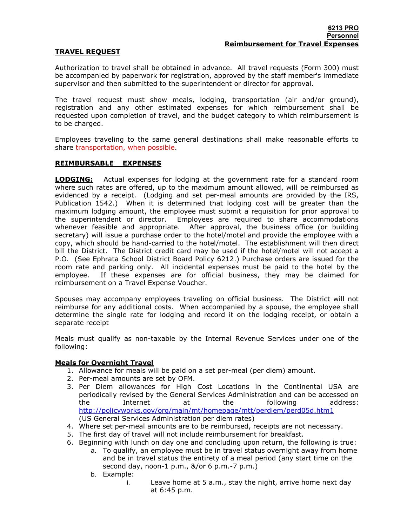### TRAVEL REQUEST

Authorization to travel shall be obtained in advance. All travel requests (Form 300) must be accompanied by paperwork for registration, approved by the staff member's immediate supervisor and then submitted to the superintendent or director for approval.

The travel request must show meals, lodging, transportation (air and/or ground), registration and any other estimated expenses for which reimbursement shall be requested upon completion of travel, and the budget category to which reimbursement is to be charged.

Employees traveling to the same general destinations shall make reasonable efforts to share transportation, when possible.

## REIMBURSABLE EXPENSES

**LODGING:** Actual expenses for lodging at the government rate for a standard room where such rates are offered, up to the maximum amount allowed, will be reimbursed as evidenced by a receipt. (Lodging and set per-meal amounts are provided by the IRS, Publication 1542.) When it is determined that lodging cost will be greater than the maximum lodging amount, the employee must submit a requisition for prior approval to the superintendent or director. Employees are required to share accommodations whenever feasible and appropriate. After approval, the business office (or building secretary) will issue a purchase order to the hotel/motel and provide the employee with a copy, which should be hand-carried to the hotel/motel. The establishment will then direct bill the District. The District credit card may be used if the hotel/motel will not accept a P.O. (See Ephrata School District Board Policy 6212.) Purchase orders are issued for the room rate and parking only. All incidental expenses must be paid to the hotel by the employee. If these expenses are for official business, they may be claimed for reimbursement on a Travel Expense Voucher.

Spouses may accompany employees traveling on official business. The District will not reimburse for any additional costs. When accompanied by a spouse, the employee shall determine the single rate for lodging and record it on the lodging receipt, or obtain a separate receipt

Meals must qualify as non-taxable by the Internal Revenue Services under one of the following:

### Meals for Overnight Travel

- 1. Allowance for meals will be paid on a set per-meal (per diem) amount.
- 2. Per-meal amounts are set by OFM.
- 3. Per Diem allowances for High Cost Locations in the Continental USA are periodically revised by the General Services Administration and can be accessed on the Internet at the following address: http://policyworks.gov/org/main/mt/homepage/mtt/perdiem/perd05d.htm1 (US General Services Administration per diem rates)
- 4. Where set per-meal amounts are to be reimbursed, receipts are not necessary.
- 5. The first day of travel will not include reimbursement for breakfast.
- 6. Beginning with lunch on day one and concluding upon return, the following is true:
	- a. To qualify, an employee must be in travel status overnight away from home and be in travel status the entirety of a meal period (any start time on the second day, noon-1 p.m., &/or 6 p.m.-7 p.m.)
	- b. Example:
		- i. Leave home at 5 a.m., stay the night, arrive home next day at 6:45 p.m.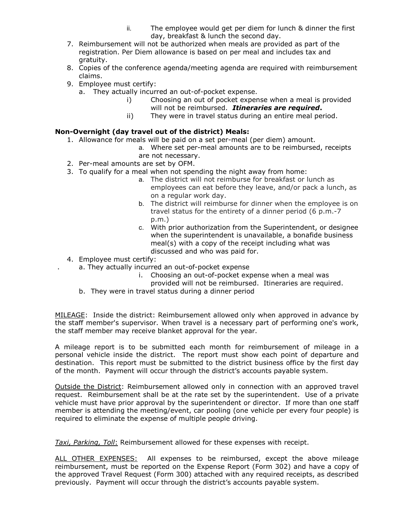- ii. The employee would get per diem for lunch & dinner the first day, breakfast & lunch the second day.
- 7. Reimbursement will not be authorized when meals are provided as part of the registration. Per Diem allowance is based on per meal and includes tax and gratuity.
- 8. Copies of the conference agenda/meeting agenda are required with reimbursement claims.
- 9. Employee must certify:
	- a. They actually incurred an out-of-pocket expense.
		- i) Choosing an out of pocket expense when a meal is provided will not be reimbursed. Itineraries are required.
		- ii) They were in travel status during an entire meal period.

# Non-Overnight (day travel out of the district) Meals:

- 1. Allowance for meals will be paid on a set per-meal (per diem) amount.
	- a. Where set per-meal amounts are to be reimbursed, receipts are not necessary.
- 2. Per-meal amounts are set by OFM.
- 3. To qualify for a meal when not spending the night away from home:
	- a. The district will not reimburse for breakfast or lunch as employees can eat before they leave, and/or pack a lunch, as on a regular work day.
	- b. The district will reimburse for dinner when the employee is on travel status for the entirety of a dinner period (6 p.m.-7 p.m.)
	- c. With prior authorization from the Superintendent, or designee when the superintendent is unavailable, a bonafide business meal(s) with a copy of the receipt including what was discussed and who was paid for.
- 4. Employee must certify:
	- a. They actually incurred an out-of-pocket expense
		- i. Choosing an out-of-pocket expense when a meal was
		- provided will not be reimbursed. Itineraries are required.
	- b. They were in travel status during a dinner period

MILEAGE: Inside the district: Reimbursement allowed only when approved in advance by the staff member's supervisor. When travel is a necessary part of performing one's work, the staff member may receive blanket approval for the year.

A mileage report is to be submitted each month for reimbursement of mileage in a personal vehicle inside the district. The report must show each point of departure and destination. This report must be submitted to the district business office by the first day of the month. Payment will occur through the district's accounts payable system.

Outside the District: Reimbursement allowed only in connection with an approved travel request. Reimbursement shall be at the rate set by the superintendent. Use of a private vehicle must have prior approval by the superintendent or director. If more than one staff member is attending the meeting/event, car pooling (one vehicle per every four people) is required to eliminate the expense of multiple people driving.

Taxi, Parking, Toll: Reimbursement allowed for these expenses with receipt.

ALL OTHER EXPENSES: All expenses to be reimbursed, except the above mileage reimbursement, must be reported on the Expense Report (Form 302) and have a copy of the approved Travel Request (Form 300) attached with any required receipts, as described previously. Payment will occur through the district's accounts payable system.